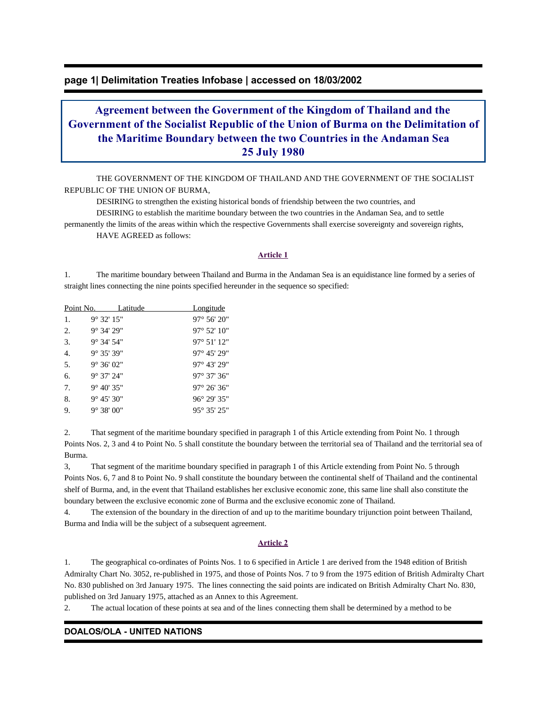## **page 1| Delimitation Treaties Infobase | accessed on 18/03/2002**

# **Agreement between the Government of the Kingdom of Thailand and the Government of the Socialist Republic of the Union of Burma on the Delimitation of the Maritime Boundary between the two Countries in the Andaman Sea 25 July 1980**

 THE GOVERNMENT OF THE KINGDOM OF THAILAND AND THE GOVERNMENT OF THE SOCIALIST REPUBLIC OF THE UNION OF BURMA,

 DESIRING to strengthen the existing historical bonds of friendship between the two countries, and DESIRING to establish the maritime boundary between the two countries in the Andaman Sea, and to settle permanently the limits of the areas within which the respective Governments shall exercise sovereignty and sovereign rights,

HAVE AGREED as follows:

#### **Article 1**

1. The maritime boundary between Thailand and Burma in the Andaman Sea is an equidistance line formed by a series of straight lines connecting the nine points specified hereunder in the sequence so specified:

| Point No. |                     | Latitude | <u>Longitude</u>      |
|-----------|---------------------|----------|-----------------------|
| 1.        | $9^{\circ}$ 32' 15" |          | $97^{\circ} 56' 20''$ |
| 2.        | $9^{\circ}$ 34' 29" |          | $97^{\circ} 52' 10''$ |
| 3.        | $9^{\circ}$ 34' 54" |          | $97^{\circ} 51' 12''$ |
| 4.        | $9^{\circ}$ 35' 39" |          | $97^{\circ}$ 45' 29"  |
| 5.        | $9^{\circ}$ 36' 02" |          | 97° 43' 29"           |
| б.        | $9^{\circ}$ 37' 24" |          | $97^{\circ}$ 37' 36"  |
| 7.        | $9^{\circ}$ 40' 35" |          | $97^{\circ} 26' 36''$ |
| 8.        | $9^{\circ}$ 45' 30" |          | $96^{\circ} 29' 35''$ |
| 9.        | $9^{\circ}$ 38' 00" |          | $95^{\circ} 35' 25''$ |

2. That segment of the maritime boundary specified in paragraph 1 of this Article extending from Point No. 1 through Points Nos. 2, 3 and 4 to Point No. 5 shall constitute the boundary between the territorial sea of Thailand and the territorial sea of Burma.

3, That segment of the maritime boundary specified in paragraph 1 of this Article extending from Point No. 5 through Points Nos. 6, 7 and 8 to Point No. 9 shall constitute the boundary between the continental shelf of Thailand and the continental shelf of Burma, and, in the event that Thailand establishes her exclusive economic zone, this same line shall also constitute the boundary between the exclusive economic zone of Burma and the exclusive economic zone of Thailand.

4. The extension of the boundary in the direction of and up to the maritime boundary trijunction point between Thailand, Burma and India will be the subject of a subsequent agreement.

#### **Article 2**

1. The geographical co-ordinates of Points Nos. 1 to 6 specified in Article 1 are derived from the 1948 edition of British Admiralty Chart No. 3052, re-published in 1975, and those of Points Nos. 7 to 9 from the 1975 edition of British Admiralty Chart No. 830 published on 3rd January 1975. The lines connecting the said points are indicated on British Admiralty Chart No. 830, published on 3rd January 1975, attached as an Annex to this Agreement.

2. The actual location of these points at sea and of the lines connecting them shall be determined by a method to be

## **DOALOS/OLA - UNITED NATIONS**